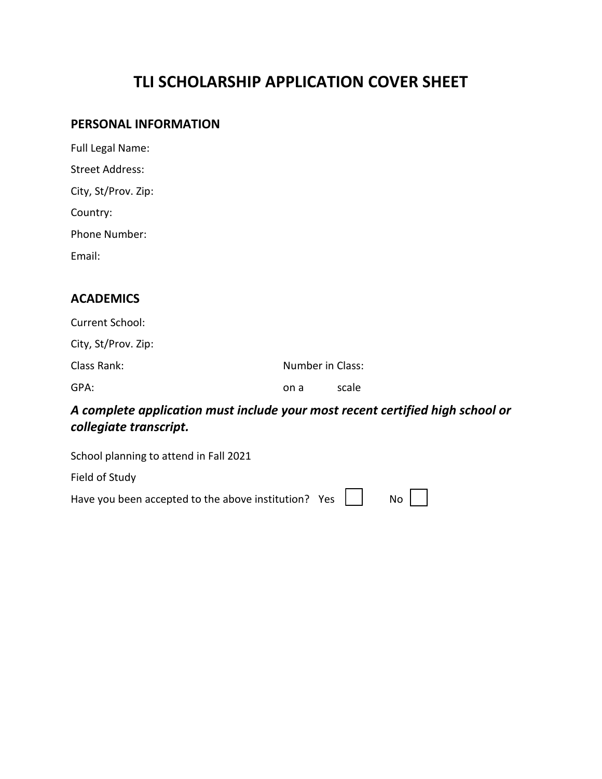## **TLI SCHOLARSHIP APPLICATION COVER SHEET**

#### **PERSONAL INFORMATION**

| <b>Full Legal Name:</b> |
|-------------------------|
| Street Address:         |
| City, St/Prov. Zip:     |
| Country:                |
| Phone Number:           |
| Email:                  |
|                         |

### **ACADEMICS**

| Current School:     |                  |       |  |
|---------------------|------------------|-------|--|
| City, St/Prov. Zip: |                  |       |  |
| Class Rank:         | Number in Class: |       |  |
| GPA:                | on a             | scale |  |

## *A complete application must include your most recent certified high school or collegiate transcript.*

| School planning to attend in Fall 2022                                                                                                                |  |  |
|-------------------------------------------------------------------------------------------------------------------------------------------------------|--|--|
| Field of Study                                                                                                                                        |  |  |
| Have you been accepted to the above institution? Yes $\begin{vmatrix} 1 & 1 \\ 1 & 1 \end{vmatrix}$ No $\begin{vmatrix} 1 & 1 \\ 1 & 1 \end{vmatrix}$ |  |  |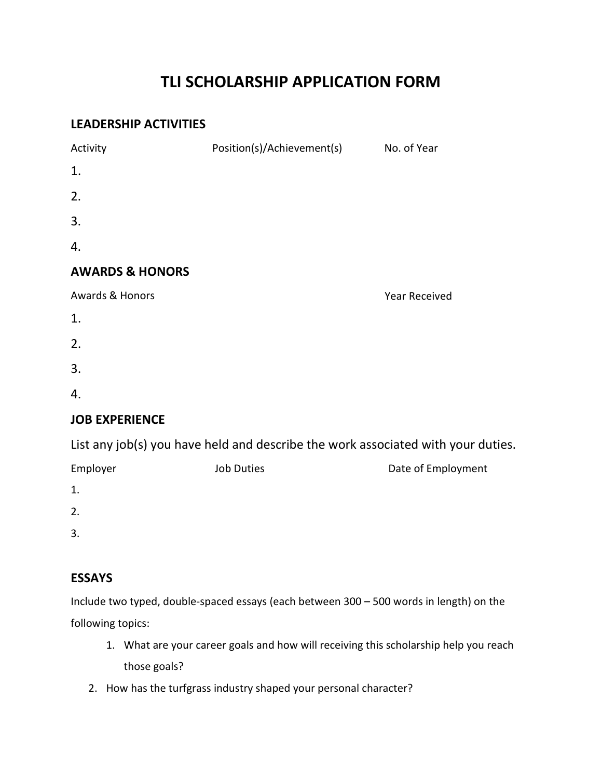## **TLI SCHOLARSHIP APPLICATION FORM**

### **LEADERSHIP ACTIVITIES**

| Activity                                                                         | Position(s)/Achievement(s) No. of Year |                      |  |  |
|----------------------------------------------------------------------------------|----------------------------------------|----------------------|--|--|
| 1.                                                                               |                                        |                      |  |  |
| 2.                                                                               |                                        |                      |  |  |
| 3.                                                                               |                                        |                      |  |  |
| 4.                                                                               |                                        |                      |  |  |
| <b>AWARDS &amp; HONORS</b>                                                       |                                        |                      |  |  |
| Awards & Honors                                                                  |                                        | <b>Year Received</b> |  |  |
| 1.                                                                               |                                        |                      |  |  |
| 2.                                                                               |                                        |                      |  |  |
| 3.                                                                               |                                        |                      |  |  |
| 4.                                                                               |                                        |                      |  |  |
| <b>JOB EXPERIENCE</b>                                                            |                                        |                      |  |  |
| List any job(s) you have held and describe the work associated with your duties. |                                        |                      |  |  |
| Employer                                                                         | <b>Job Duties</b>                      | Date of Employment   |  |  |
| 1.                                                                               |                                        |                      |  |  |

2.

3.

### **ESSAYS**

Include two typed, double-spaced essays (each between 300 – 500 words in length) on the following topics:

- 1. What are your career goals and how will receiving this scholarship help you reach those goals?
- 2. How has the turfgrass industry shaped your personal character?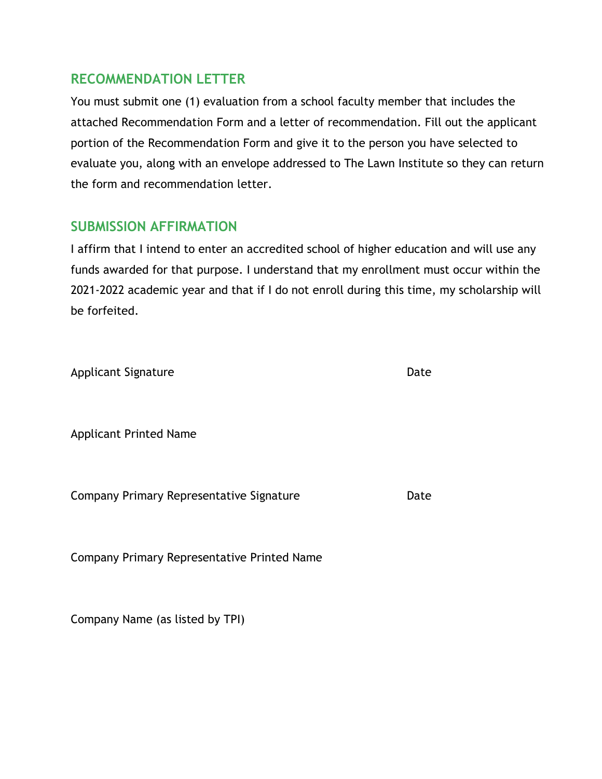### **RECOMMENDATION LETTER**

You must submit one (1) evaluation from a school faculty member that includes the attached Recommendation Form and a letter of recommendation. Fill out the applicant portion of the Recommendation Form and give it to the person you have selected to evaluate you, along with an envelope addressed to The Lawn Institute so they can return the form and recommendation letter.

### **SUBMISSION AFFIRMATION**

I affirm that I intend to enter an accredited school of higher education and will use any funds awarded for that purpose. I understand that my enrollment must occur within the 2022-2023 academic year and that if I do not enroll during this time, my scholarship will be forfeited.

| <b>Applicant Signature</b> | Date |
|----------------------------|------|
|                            |      |

Applicant Printed Name

Company Primary Representative Signature **Example 2** Date

Company Primary Representative Printed Name

Company Name (as listed by TPI)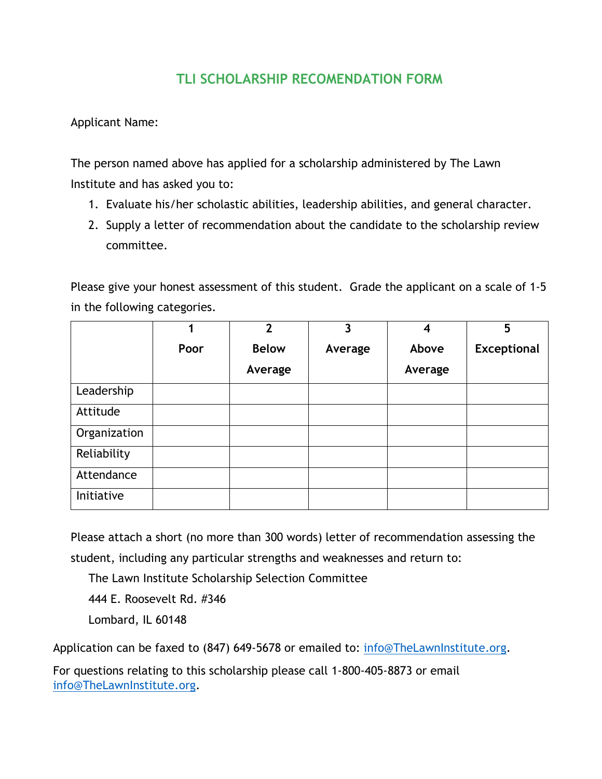## **TLI SCHOLARSHIP RECOMENDATION FORM**

Applicant Name:

The person named above has applied for a scholarship administered by The Lawn Institute and has asked you to:

- 1. Evaluate his/her scholastic abilities, leadership abilities, and general character.
- 2. Supply a letter of recommendation about the candidate to the scholarship review committee.

Please give your honest assessment of this student. Grade the applicant on a scale of 1-5 in the following categories.

|              | 1    | $\overline{2}$ | 3       | 4       | 5                  |
|--------------|------|----------------|---------|---------|--------------------|
|              | Poor | <b>Below</b>   | Average | Above   | <b>Exceptional</b> |
|              |      | Average        |         | Average |                    |
| Leadership   |      |                |         |         |                    |
| Attitude     |      |                |         |         |                    |
| Organization |      |                |         |         |                    |
| Reliability  |      |                |         |         |                    |
| Attendance   |      |                |         |         |                    |
| Initiative   |      |                |         |         |                    |

Please attach a short (no more than 300 words) letter of recommendation assessing the student, including any particular strengths and weaknesses and return to:

The Lawn Institute Scholarship Selection Committee

444 E. Roosevelt Rd. #346

Lombard, IL 60148

Application can be faxed to (847) 649-5678 or emailed to: [info@TheLawnInstitute.org.](mailto:info@TheLawnInstitute.org)

For questions relating to this scholarship please call 1-800-405-8873 or email [info@TheLawnInstitute.org.](mailto:info@TheLawnInstitute.org)